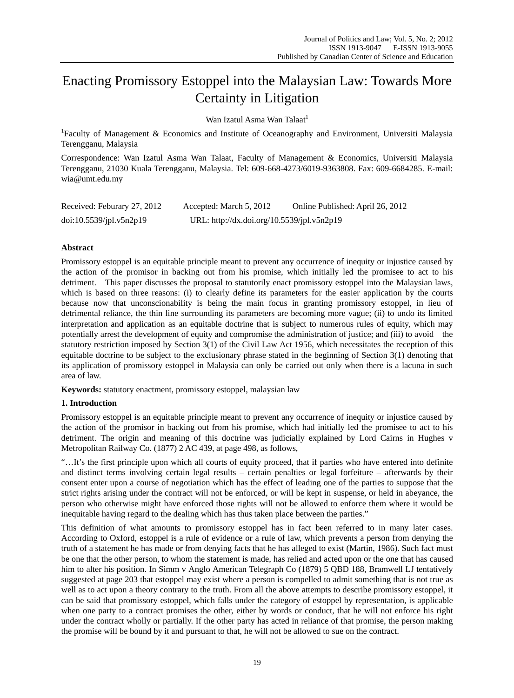# Enacting Promissory Estoppel into the Malaysian Law: Towards More Certainty in Litigation

Wan Izatul Asma Wan Talaat<sup>1</sup>

<sup>1</sup>Faculty of Management & Economics and Institute of Oceanography and Environment, Universiti Malaysia Terengganu, Malaysia

Correspondence: Wan Izatul Asma Wan Talaat, Faculty of Management & Economics, Universiti Malaysia Terengganu, 21030 Kuala Terengganu, Malaysia. Tel: 609-668-4273/6019-9363808. Fax: 609-6684285. E-mail: wia@umt.edu.my

| Received: Feburary 27, 2012 | Accepted: March 5, 2012                    | Online Published: April 26, 2012 |
|-----------------------------|--------------------------------------------|----------------------------------|
| doi:10.5539/jpl.v5n2p19     | URL: http://dx.doi.org/10.5539/jpl.v5n2p19 |                                  |

# **Abstract**

Promissory estoppel is an equitable principle meant to prevent any occurrence of inequity or injustice caused by the action of the promisor in backing out from his promise, which initially led the promisee to act to his detriment. This paper discusses the proposal to statutorily enact promissory estoppel into the Malaysian laws, which is based on three reasons: (i) to clearly define its parameters for the easier application by the courts because now that unconscionability is being the main focus in granting promissory estoppel, in lieu of detrimental reliance, the thin line surrounding its parameters are becoming more vague; (ii) to undo its limited interpretation and application as an equitable doctrine that is subject to numerous rules of equity, which may potentially arrest the development of equity and compromise the administration of justice; and (iii) to avoid the statutory restriction imposed by Section 3(1) of the Civil Law Act 1956, which necessitates the reception of this equitable doctrine to be subject to the exclusionary phrase stated in the beginning of Section 3(1) denoting that its application of promissory estoppel in Malaysia can only be carried out only when there is a lacuna in such area of law.

**Keywords:** statutory enactment, promissory estoppel, malaysian law

# **1. Introduction**

Promissory estoppel is an equitable principle meant to prevent any occurrence of inequity or injustice caused by the action of the promisor in backing out from his promise, which had initially led the promisee to act to his detriment. The origin and meaning of this doctrine was judicially explained by Lord Cairns in Hughes v Metropolitan Railway Co. (1877) 2 AC 439, at page 498, as follows,

"…It's the first principle upon which all courts of equity proceed, that if parties who have entered into definite and distinct terms involving certain legal results – certain penalties or legal forfeiture – afterwards by their consent enter upon a course of negotiation which has the effect of leading one of the parties to suppose that the strict rights arising under the contract will not be enforced, or will be kept in suspense, or held in abeyance, the person who otherwise might have enforced those rights will not be allowed to enforce them where it would be inequitable having regard to the dealing which has thus taken place between the parties."

This definition of what amounts to promissory estoppel has in fact been referred to in many later cases. According to Oxford, estoppel is a rule of evidence or a rule of law, which prevents a person from denying the truth of a statement he has made or from denying facts that he has alleged to exist (Martin, 1986). Such fact must be one that the other person, to whom the statement is made, has relied and acted upon or the one that has caused him to alter his position. In Simm v Anglo American Telegraph Co (1879) 5 QBD 188, Bramwell LJ tentatively suggested at page 203 that estoppel may exist where a person is compelled to admit something that is not true as well as to act upon a theory contrary to the truth. From all the above attempts to describe promissory estoppel, it can be said that promissory estoppel, which falls under the category of estoppel by representation, is applicable when one party to a contract promises the other, either by words or conduct, that he will not enforce his right under the contract wholly or partially. If the other party has acted in reliance of that promise, the person making the promise will be bound by it and pursuant to that, he will not be allowed to sue on the contract.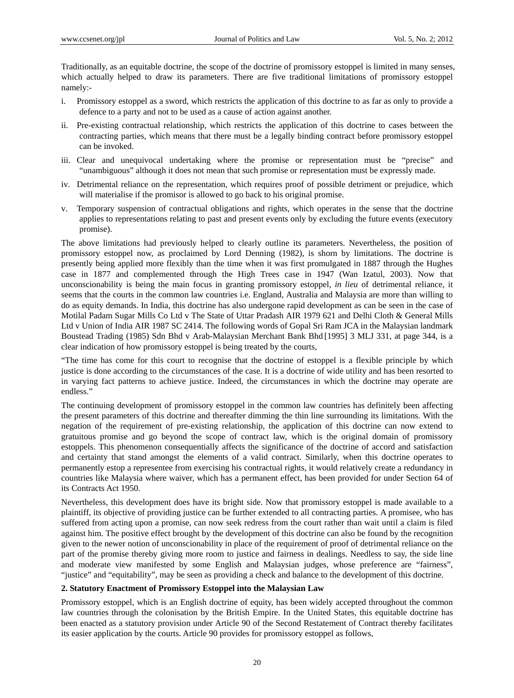Traditionally, as an equitable doctrine, the scope of the doctrine of promissory estoppel is limited in many senses, which actually helped to draw its parameters. There are five traditional limitations of promissory estoppel namely:-

- i. Promissory estoppel as a sword, which restricts the application of this doctrine to as far as only to provide a defence to a party and not to be used as a cause of action against another.
- ii. Pre-existing contractual relationship, which restricts the application of this doctrine to cases between the contracting parties, which means that there must be a legally binding contract before promissory estoppel can be invoked.
- iii. Clear and unequivocal undertaking where the promise or representation must be "precise" and "unambiguous" although it does not mean that such promise or representation must be expressly made.
- iv. Detrimental reliance on the representation, which requires proof of possible detriment or prejudice, which will materialise if the promisor is allowed to go back to his original promise.
- v. Temporary suspension of contractual obligations and rights, which operates in the sense that the doctrine applies to representations relating to past and present events only by excluding the future events (executory promise).

The above limitations had previously helped to clearly outline its parameters. Nevertheless, the position of promissory estoppel now, as proclaimed by Lord Denning (1982), is shorn by limitations. The doctrine is presently being applied more flexibly than the time when it was first promulgated in 1887 through the Hughes case in 1877 and complemented through the High Trees case in 1947 (Wan Izatul, 2003). Now that unconscionability is being the main focus in granting promissory estoppel, *in lieu* of detrimental reliance, it seems that the courts in the common law countries i.e. England, Australia and Malaysia are more than willing to do as equity demands. In India, this doctrine has also undergone rapid development as can be seen in the case of Motilal Padam Sugar Mills Co Ltd v The State of Uttar Pradash AIR 1979 621 and Delhi Cloth & General Mills Ltd v Union of India AIR 1987 SC 2414. The following words of Gopal Sri Ram JCA in the Malaysian landmark Boustead Trading (1985) Sdn Bhd v Arab-Malaysian Merchant Bank Bhd [1995] 3 MLJ 331, at page 344, is a clear indication of how promissory estoppel is being treated by the courts,

"The time has come for this court to recognise that the doctrine of estoppel is a flexible principle by which justice is done according to the circumstances of the case. It is a doctrine of wide utility and has been resorted to in varying fact patterns to achieve justice. Indeed, the circumstances in which the doctrine may operate are endless."

The continuing development of promissory estoppel in the common law countries has definitely been affecting the present parameters of this doctrine and thereafter dimming the thin line surrounding its limitations. With the negation of the requirement of pre-existing relationship, the application of this doctrine can now extend to gratuitous promise and go beyond the scope of contract law, which is the original domain of promissory estoppels. This phenomenon consequentially affects the significance of the doctrine of accord and satisfaction and certainty that stand amongst the elements of a valid contract. Similarly, when this doctrine operates to permanently estop a representee from exercising his contractual rights, it would relatively create a redundancy in countries like Malaysia where waiver, which has a permanent effect, has been provided for under Section 64 of its Contracts Act 1950.

Nevertheless, this development does have its bright side. Now that promissory estoppel is made available to a plaintiff, its objective of providing justice can be further extended to all contracting parties. A promisee, who has suffered from acting upon a promise, can now seek redress from the court rather than wait until a claim is filed against him. The positive effect brought by the development of this doctrine can also be found by the recognition given to the newer notion of unconscionability in place of the requirement of proof of detrimental reliance on the part of the promise thereby giving more room to justice and fairness in dealings. Needless to say, the side line and moderate view manifested by some English and Malaysian judges, whose preference are "fairness", "justice" and "equitability", may be seen as providing a check and balance to the development of this doctrine.

#### **2. Statutory Enactment of Promissory Estoppel into the Malaysian Law**

Promissory estoppel, which is an English doctrine of equity, has been widely accepted throughout the common law countries through the colonisation by the British Empire. In the United States, this equitable doctrine has been enacted as a statutory provision under Article 90 of the Second Restatement of Contract thereby facilitates its easier application by the courts. Article 90 provides for promissory estoppel as follows,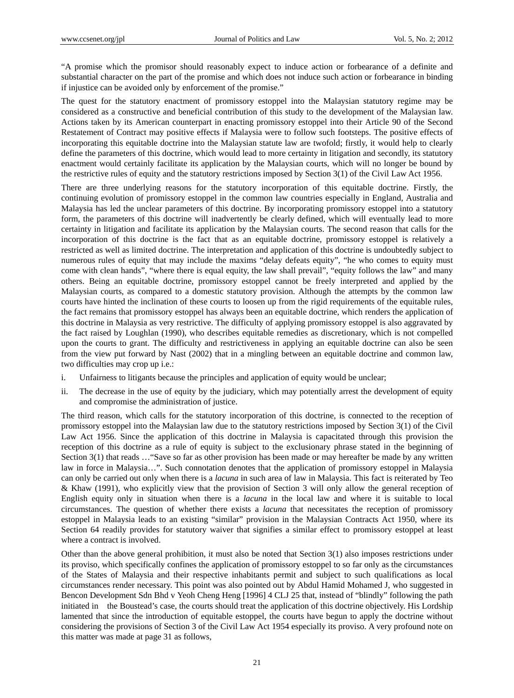"A promise which the promisor should reasonably expect to induce action or forbearance of a definite and substantial character on the part of the promise and which does not induce such action or forbearance in binding if injustice can be avoided only by enforcement of the promise."

The quest for the statutory enactment of promissory estoppel into the Malaysian statutory regime may be considered as a constructive and beneficial contribution of this study to the development of the Malaysian law. Actions taken by its American counterpart in enacting promissory estoppel into their Article 90 of the Second Restatement of Contract may positive effects if Malaysia were to follow such footsteps. The positive effects of incorporating this equitable doctrine into the Malaysian statute law are twofold; firstly, it would help to clearly define the parameters of this doctrine, which would lead to more certainty in litigation and secondly, its statutory enactment would certainly facilitate its application by the Malaysian courts, which will no longer be bound by the restrictive rules of equity and the statutory restrictions imposed by Section 3(1) of the Civil Law Act 1956.

There are three underlying reasons for the statutory incorporation of this equitable doctrine. Firstly, the continuing evolution of promissory estoppel in the common law countries especially in England, Australia and Malaysia has led the unclear parameters of this doctrine. By incorporating promissory estoppel into a statutory form, the parameters of this doctrine will inadvertently be clearly defined, which will eventually lead to more certainty in litigation and facilitate its application by the Malaysian courts. The second reason that calls for the incorporation of this doctrine is the fact that as an equitable doctrine, promissory estoppel is relatively a restricted as well as limited doctrine. The interpretation and application of this doctrine is undoubtedly subject to numerous rules of equity that may include the maxims "delay defeats equity", "he who comes to equity must come with clean hands", "where there is equal equity, the law shall prevail", "equity follows the law" and many others. Being an equitable doctrine, promissory estoppel cannot be freely interpreted and applied by the Malaysian courts, as compared to a domestic statutory provision. Although the attempts by the common law courts have hinted the inclination of these courts to loosen up from the rigid requirements of the equitable rules, the fact remains that promissory estoppel has always been an equitable doctrine, which renders the application of this doctrine in Malaysia as very restrictive. The difficulty of applying promissory estoppel is also aggravated by the fact raised by Loughlan (1990), who describes equitable remedies as discretionary, which is not compelled upon the courts to grant. The difficulty and restrictiveness in applying an equitable doctrine can also be seen from the view put forward by Nast (2002) that in a mingling between an equitable doctrine and common law, two difficulties may crop up i.e.:

- i. Unfairness to litigants because the principles and application of equity would be unclear;
- ii. The decrease in the use of equity by the judiciary, which may potentially arrest the development of equity and compromise the administration of justice.

The third reason, which calls for the statutory incorporation of this doctrine, is connected to the reception of promissory estoppel into the Malaysian law due to the statutory restrictions imposed by Section 3(1) of the Civil Law Act 1956. Since the application of this doctrine in Malaysia is capacitated through this provision the reception of this doctrine as a rule of equity is subject to the exclusionary phrase stated in the beginning of Section 3(1) that reads …"Save so far as other provision has been made or may hereafter be made by any written law in force in Malaysia…". Such connotation denotes that the application of promissory estoppel in Malaysia can only be carried out only when there is a *lacuna* in such area of law in Malaysia. This fact is reiterated by Teo & Khaw (1991), who explicitly view that the provision of Section 3 will only allow the general reception of English equity only in situation when there is a *lacuna* in the local law and where it is suitable to local circumstances. The question of whether there exists a *lacuna* that necessitates the reception of promissory estoppel in Malaysia leads to an existing "similar" provision in the Malaysian Contracts Act 1950, where its Section 64 readily provides for statutory waiver that signifies a similar effect to promissory estoppel at least where a contract is involved.

Other than the above general prohibition, it must also be noted that Section 3(1) also imposes restrictions under its proviso, which specifically confines the application of promissory estoppel to so far only as the circumstances of the States of Malaysia and their respective inhabitants permit and subject to such qualifications as local circumstances render necessary. This point was also pointed out by Abdul Hamid Mohamed J, who suggested in Bencon Development Sdn Bhd v Yeoh Cheng Heng [1996] 4 CLJ 25 that, instead of "blindly" following the path initiated in the Boustead's case, the courts should treat the application of this doctrine objectively. His Lordship lamented that since the introduction of equitable estoppel, the courts have begun to apply the doctrine without considering the provisions of Section 3 of the Civil Law Act 1954 especially its proviso. A very profound note on this matter was made at page 31 as follows,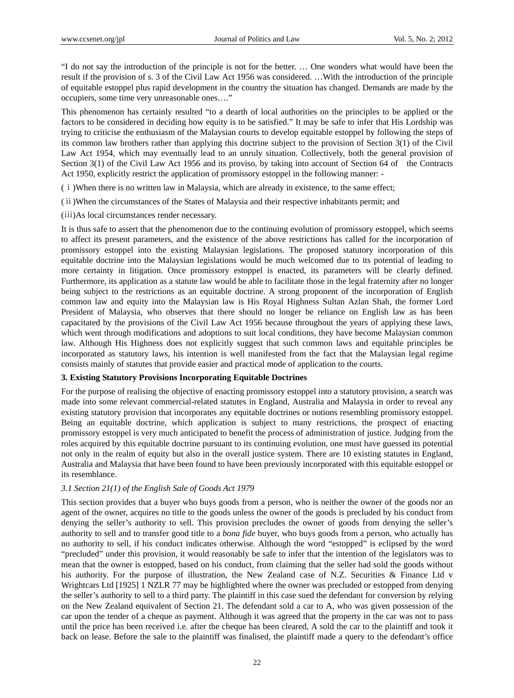"I do not say the introduction of the principle is not for the better. … One wonders what would have been the result if the provision of s. 3 of the Civil Law Act 1956 was considered. …With the introduction of the principle of equitable estoppel plus rapid development in the country the situation has changed. Demands are made by the occupiers, some time very unreasonable ones…."

This phenomenon has certainly resulted "to a dearth of local authorities on the principles to be applied or the factors to be considered in deciding how equity is to be satisfied." It may be safe to infer that His Lordship was trying to criticise the enthusiasm of the Malaysian courts to develop equitable estoppel by following the steps of its common law brothers rather than applying this doctrine subject to the provision of Section 3(1) of the Civil Law Act 1954, which may eventually lead to an unruly situation. Collectively, both the general provision of Section 3(1) of the Civil Law Act 1956 and its proviso, by taking into account of Section 64 of the Contracts Act 1950, explicitly restrict the application of promissory estoppel in the following manner: -

(ⅰ)When there is no written law in Malaysia, which are already in existence, to the same effect;

(ⅱ)When the circumstances of the States of Malaysia and their respective inhabitants permit; and

(ⅲ)As local circumstances render necessary.

It is thus safe to assert that the phenomenon due to the continuing evolution of promissory estoppel, which seems to affect its present parameters, and the existence of the above restrictions has called for the incorporation of promissory estoppel into the existing Malaysian legislations. The proposed statutory incorporation of this equitable doctrine into the Malaysian legislations would be much welcomed due to its potential of leading to more certainty in litigation. Once promissory estoppel is enacted, its parameters will be clearly defined. Furthermore, its application as a statute law would be able to facilitate those in the legal fraternity after no longer being subject to the restrictions as an equitable doctrine. A strong proponent of the incorporation of English common law and equity into the Malaysian law is His Royal Highness Sultan Azlan Shah, the former Lord President of Malaysia, who observes that there should no longer be reliance on English law as has been capacitated by the provisions of the Civil Law Act 1956 because throughout the years of applying these laws, which went through modifications and adoptions to suit local conditions, they have become Malaysian common law. Although His Highness does not explicitly suggest that such common laws and equitable principles be incorporated as statutory laws, his intention is well manifested from the fact that the Malaysian legal regime consists mainly of statutes that provide easier and practical mode of application to the courts.

## **3. Existing Statutory Provisions Incorporating Equitable Doctrines**

For the purpose of realising the objective of enacting promissory estoppel into a statutory provision, a search was made into some relevant commercial-related statutes in England, Australia and Malaysia in order to reveal any existing statutory provision that incorporates any equitable doctrines or notions resembling promissory estoppel. Being an equitable doctrine, which application is subject to many restrictions, the prospect of enacting promissory estoppel is very much anticipated to benefit the process of administration of justice. Judging from the roles acquired by this equitable doctrine pursuant to its continuing evolution, one must have guessed its potential not only in the realm of equity but also in the overall justice system. There are 10 existing statutes in England, Australia and Malaysia that have been found to have been previously incorporated with this equitable estoppel or its resemblance.

## *3.1 Section 21(1) of the English Sale of Goods Act 1979*

This section provides that a buyer who buys goods from a person, who is neither the owner of the goods nor an agent of the owner, acquires no title to the goods unless the owner of the goods is precluded by his conduct from denying the seller's authority to sell. This provision precludes the owner of goods from denying the seller's authority to sell and to transfer good title to a *bona fide* buyer, who buys goods from a person, who actually has no authority to sell, if his conduct indicates otherwise. Although the word "estopped" is eclipsed by the word "precluded" under this provision, it would reasonably be safe to infer that the intention of the legislators was to mean that the owner is estopped, based on his conduct, from claiming that the seller had sold the goods without his authority. For the purpose of illustration, the New Zealand case of N.Z. Securities & Finance Ltd v Wrightcars Ltd [1925] 1 NZLR 77 may be highlighted where the owner was precluded or estopped from denying the seller's authority to sell to a third party. The plaintiff in this case sued the defendant for conversion by relying on the New Zealand equivalent of Section 21. The defendant sold a car to A, who was given possession of the car upon the tender of a cheque as payment. Although it was agreed that the property in the car was not to pass until the price has been received i.e. after the cheque has been cleared, A sold the car to the plaintiff and took it back on lease. Before the sale to the plaintiff was finalised, the plaintiff made a query to the defendant's office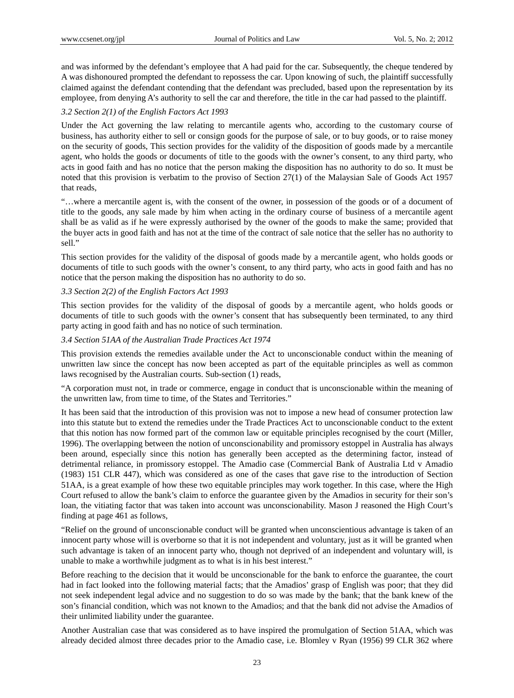and was informed by the defendant's employee that A had paid for the car. Subsequently, the cheque tendered by A was dishonoured prompted the defendant to repossess the car. Upon knowing of such, the plaintiff successfully claimed against the defendant contending that the defendant was precluded, based upon the representation by its employee, from denying A's authority to sell the car and therefore, the title in the car had passed to the plaintiff.

#### *3.2 Section 2(1) of the English Factors Act 1993*

Under the Act governing the law relating to mercantile agents who, according to the customary course of business, has authority either to sell or consign goods for the purpose of sale, or to buy goods, or to raise money on the security of goods, This section provides for the validity of the disposition of goods made by a mercantile agent, who holds the goods or documents of title to the goods with the owner's consent, to any third party, who acts in good faith and has no notice that the person making the disposition has no authority to do so. It must be noted that this provision is verbatim to the proviso of Section 27(1) of the Malaysian Sale of Goods Act 1957 that reads,

"…where a mercantile agent is, with the consent of the owner, in possession of the goods or of a document of title to the goods, any sale made by him when acting in the ordinary course of business of a mercantile agent shall be as valid as if he were expressly authorised by the owner of the goods to make the same; provided that the buyer acts in good faith and has not at the time of the contract of sale notice that the seller has no authority to sell."

This section provides for the validity of the disposal of goods made by a mercantile agent, who holds goods or documents of title to such goods with the owner's consent, to any third party, who acts in good faith and has no notice that the person making the disposition has no authority to do so.

#### *3.3 Section 2(2) of the English Factors Act 1993*

This section provides for the validity of the disposal of goods by a mercantile agent, who holds goods or documents of title to such goods with the owner's consent that has subsequently been terminated, to any third party acting in good faith and has no notice of such termination.

#### *3.4 Section 51AA of the Australian Trade Practices Act 1974*

This provision extends the remedies available under the Act to unconscionable conduct within the meaning of unwritten law since the concept has now been accepted as part of the equitable principles as well as common laws recognised by the Australian courts. Sub-section (1) reads,

"A corporation must not, in trade or commerce, engage in conduct that is unconscionable within the meaning of the unwritten law, from time to time, of the States and Territories."

It has been said that the introduction of this provision was not to impose a new head of consumer protection law into this statute but to extend the remedies under the Trade Practices Act to unconscionable conduct to the extent that this notion has now formed part of the common law or equitable principles recognised by the court (Miller, 1996). The overlapping between the notion of unconscionability and promissory estoppel in Australia has always been around, especially since this notion has generally been accepted as the determining factor, instead of detrimental reliance, in promissory estoppel. The Amadio case (Commercial Bank of Australia Ltd v Amadio (1983) 151 CLR 447), which was considered as one of the cases that gave rise to the introduction of Section 51AA, is a great example of how these two equitable principles may work together. In this case, where the High Court refused to allow the bank's claim to enforce the guarantee given by the Amadios in security for their son's loan, the vitiating factor that was taken into account was unconscionability. Mason J reasoned the High Court's finding at page 461 as follows,

"Relief on the ground of unconscionable conduct will be granted when unconscientious advantage is taken of an innocent party whose will is overborne so that it is not independent and voluntary, just as it will be granted when such advantage is taken of an innocent party who, though not deprived of an independent and voluntary will, is unable to make a worthwhile judgment as to what is in his best interest."

Before reaching to the decision that it would be unconscionable for the bank to enforce the guarantee, the court had in fact looked into the following material facts; that the Amadios' grasp of English was poor; that they did not seek independent legal advice and no suggestion to do so was made by the bank; that the bank knew of the son's financial condition, which was not known to the Amadios; and that the bank did not advise the Amadios of their unlimited liability under the guarantee.

Another Australian case that was considered as to have inspired the promulgation of Section 51AA, which was already decided almost three decades prior to the Amadio case, i.e. Blomley v Ryan (1956) 99 CLR 362 where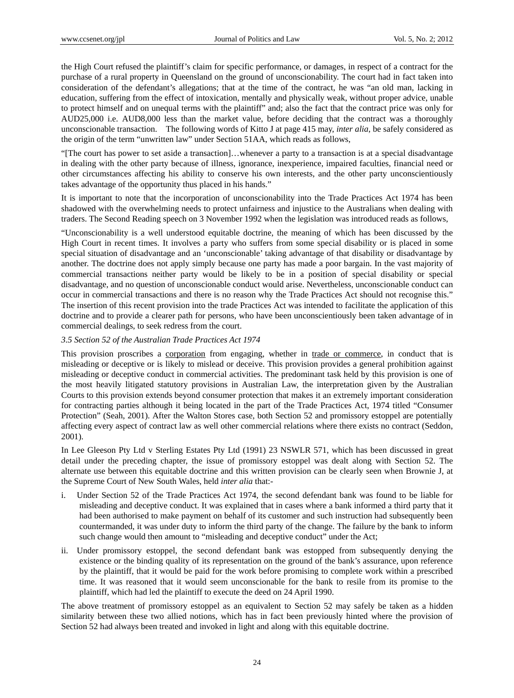the High Court refused the plaintiff's claim for specific performance, or damages, in respect of a contract for the purchase of a rural property in Queensland on the ground of unconscionability. The court had in fact taken into consideration of the defendant's allegations; that at the time of the contract, he was "an old man, lacking in education, suffering from the effect of intoxication, mentally and physically weak, without proper advice, unable to protect himself and on unequal terms with the plaintiff" and; also the fact that the contract price was only for AUD25,000 i.e. AUD8,000 less than the market value, before deciding that the contract was a thoroughly unconscionable transaction. The following words of Kitto J at page 415 may, *inter alia*, be safely considered as the origin of the term "unwritten law" under Section 51AA, which reads as follows,

"[The court has power to set aside a transaction]…whenever a party to a transaction is at a special disadvantage in dealing with the other party because of illness, ignorance, inexperience, impaired faculties, financial need or other circumstances affecting his ability to conserve his own interests, and the other party unconscientiously takes advantage of the opportunity thus placed in his hands."

It is important to note that the incorporation of unconscionability into the Trade Practices Act 1974 has been shadowed with the overwhelming needs to protect unfairness and injustice to the Australians when dealing with traders. The Second Reading speech on 3 November 1992 when the legislation was introduced reads as follows,

"Unconscionability is a well understood equitable doctrine, the meaning of which has been discussed by the High Court in recent times. It involves a party who suffers from some special disability or is placed in some special situation of disadvantage and an 'unconscionable' taking advantage of that disability or disadvantage by another. The doctrine does not apply simply because one party has made a poor bargain. In the vast majority of commercial transactions neither party would be likely to be in a position of special disability or special disadvantage, and no question of unconscionable conduct would arise. Nevertheless, unconscionable conduct can occur in commercial transactions and there is no reason why the Trade Practices Act should not recognise this." The insertion of this recent provision into the trade Practices Act was intended to facilitate the application of this doctrine and to provide a clearer path for persons, who have been unconscientiously been taken advantage of in commercial dealings, to seek redress from the court.

## *3.5 Section 52 of the Australian Trade Practices Act 1974*

This provision proscribes a corporation from engaging, whether in trade or commerce, in conduct that is misleading or deceptive or is likely to mislead or deceive. This provision provides a general prohibition against misleading or deceptive conduct in commercial activities. The predominant task held by this provision is one of the most heavily litigated statutory provisions in Australian Law, the interpretation given by the Australian Courts to this provision extends beyond consumer protection that makes it an extremely important consideration for contracting parties although it being located in the part of the Trade Practices Act, 1974 titled "Consumer Protection" (Seah, 2001). After the Walton Stores case, both Section 52 and promissory estoppel are potentially affecting every aspect of contract law as well other commercial relations where there exists no contract (Seddon, 2001).

In Lee Gleeson Pty Ltd v Sterling Estates Pty Ltd (1991) 23 NSWLR 571, which has been discussed in great detail under the preceding chapter, the issue of promissory estoppel was dealt along with Section 52. The alternate use between this equitable doctrine and this written provision can be clearly seen when Brownie J, at the Supreme Court of New South Wales, held *inter alia* that:-

- Under Section 52 of the Trade Practices Act 1974, the second defendant bank was found to be liable for misleading and deceptive conduct. It was explained that in cases where a bank informed a third party that it had been authorised to make payment on behalf of its customer and such instruction had subsequently been countermanded, it was under duty to inform the third party of the change. The failure by the bank to inform such change would then amount to "misleading and deceptive conduct" under the Act;
- ii. Under promissory estoppel, the second defendant bank was estopped from subsequently denying the existence or the binding quality of its representation on the ground of the bank's assurance, upon reference by the plaintiff, that it would be paid for the work before promising to complete work within a prescribed time. It was reasoned that it would seem unconscionable for the bank to resile from its promise to the plaintiff, which had led the plaintiff to execute the deed on 24 April 1990.

The above treatment of promissory estoppel as an equivalent to Section 52 may safely be taken as a hidden similarity between these two allied notions, which has in fact been previously hinted where the provision of Section 52 had always been treated and invoked in light and along with this equitable doctrine.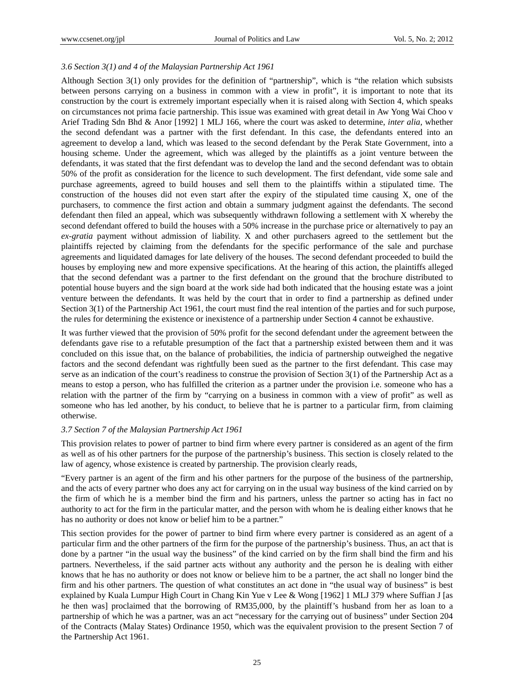## *3.6 Section 3(1) and 4 of the Malaysian Partnership Act 1961*

Although Section 3(1) only provides for the definition of "partnership", which is "the relation which subsists between persons carrying on a business in common with a view in profit", it is important to note that its construction by the court is extremely important especially when it is raised along with Section 4, which speaks on circumstances not prima facie partnership. This issue was examined with great detail in Aw Yong Wai Choo v Arief Trading Sdn Bhd & Anor [1992] 1 MLJ 166, where the court was asked to determine, *inter alia*, whether the second defendant was a partner with the first defendant. In this case, the defendants entered into an agreement to develop a land, which was leased to the second defendant by the Perak State Government, into a housing scheme. Under the agreement, which was alleged by the plaintiffs as a joint venture between the defendants, it was stated that the first defendant was to develop the land and the second defendant was to obtain 50% of the profit as consideration for the licence to such development. The first defendant, vide some sale and purchase agreements, agreed to build houses and sell them to the plaintiffs within a stipulated time. The construction of the houses did not even start after the expiry of the stipulated time causing X, one of the purchasers, to commence the first action and obtain a summary judgment against the defendants. The second defendant then filed an appeal, which was subsequently withdrawn following a settlement with X whereby the second defendant offered to build the houses with a 50% increase in the purchase price or alternatively to pay an *ex-gratia* payment without admission of liability. X and other purchasers agreed to the settlement but the plaintiffs rejected by claiming from the defendants for the specific performance of the sale and purchase agreements and liquidated damages for late delivery of the houses. The second defendant proceeded to build the houses by employing new and more expensive specifications. At the hearing of this action, the plaintiffs alleged that the second defendant was a partner to the first defendant on the ground that the brochure distributed to potential house buyers and the sign board at the work side had both indicated that the housing estate was a joint venture between the defendants. It was held by the court that in order to find a partnership as defined under Section 3(1) of the Partnership Act 1961, the court must find the real intention of the parties and for such purpose, the rules for determining the existence or inexistence of a partnership under Section 4 cannot be exhaustive.

It was further viewed that the provision of 50% profit for the second defendant under the agreement between the defendants gave rise to a refutable presumption of the fact that a partnership existed between them and it was concluded on this issue that, on the balance of probabilities, the indicia of partnership outweighed the negative factors and the second defendant was rightfully been sued as the partner to the first defendant. This case may serve as an indication of the court's readiness to construe the provision of Section 3(1) of the Partnership Act as a means to estop a person, who has fulfilled the criterion as a partner under the provision i.e. someone who has a relation with the partner of the firm by "carrying on a business in common with a view of profit" as well as someone who has led another, by his conduct, to believe that he is partner to a particular firm, from claiming otherwise.

#### *3.7 Section 7 of the Malaysian Partnership Act 1961*

This provision relates to power of partner to bind firm where every partner is considered as an agent of the firm as well as of his other partners for the purpose of the partnership's business. This section is closely related to the law of agency, whose existence is created by partnership. The provision clearly reads,

"Every partner is an agent of the firm and his other partners for the purpose of the business of the partnership, and the acts of every partner who does any act for carrying on in the usual way business of the kind carried on by the firm of which he is a member bind the firm and his partners, unless the partner so acting has in fact no authority to act for the firm in the particular matter, and the person with whom he is dealing either knows that he has no authority or does not know or belief him to be a partner."

This section provides for the power of partner to bind firm where every partner is considered as an agent of a particular firm and the other partners of the firm for the purpose of the partnership's business. Thus, an act that is done by a partner "in the usual way the business" of the kind carried on by the firm shall bind the firm and his partners. Nevertheless, if the said partner acts without any authority and the person he is dealing with either knows that he has no authority or does not know or believe him to be a partner, the act shall no longer bind the firm and his other partners. The question of what constitutes an act done in "the usual way of business" is best explained by Kuala Lumpur High Court in Chang Kin Yue v Lee & Wong [1962] 1 MLJ 379 where Suffian J [as he then was] proclaimed that the borrowing of RM35,000, by the plaintiff's husband from her as loan to a partnership of which he was a partner, was an act "necessary for the carrying out of business" under Section 204 of the Contracts (Malay States) Ordinance 1950, which was the equivalent provision to the present Section 7 of the Partnership Act 1961.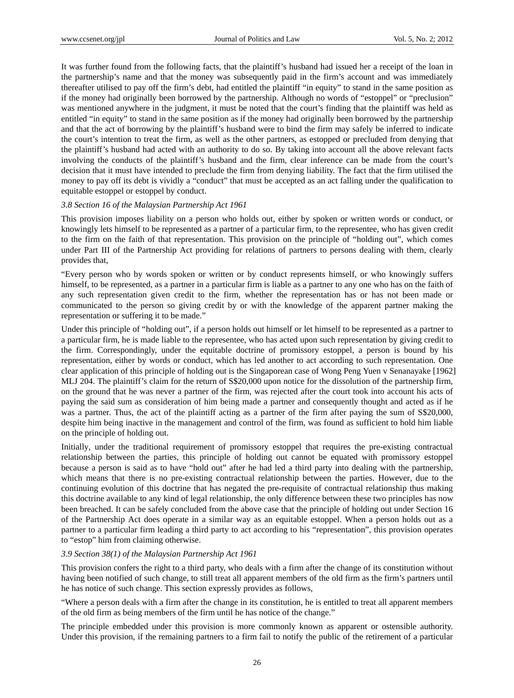It was further found from the following facts, that the plaintiff's husband had issued her a receipt of the loan in the partnership's name and that the money was subsequently paid in the firm's account and was immediately thereafter utilised to pay off the firm's debt, had entitled the plaintiff "in equity" to stand in the same position as if the money had originally been borrowed by the partnership. Although no words of "estoppel" or "preclusion" was mentioned anywhere in the judgment, it must be noted that the court's finding that the plaintiff was held as entitled "in equity" to stand in the same position as if the money had originally been borrowed by the partnership and that the act of borrowing by the plaintiff's husband were to bind the firm may safely be inferred to indicate the court's intention to treat the firm, as well as the other partners, as estopped or precluded from denying that the plaintiff's husband had acted with an authority to do so. By taking into account all the above relevant facts involving the conducts of the plaintiff's husband and the firm, clear inference can be made from the court's decision that it must have intended to preclude the firm from denying liability. The fact that the firm utilised the money to pay off its debt is vividly a "conduct" that must be accepted as an act falling under the qualification to equitable estoppel or estoppel by conduct.

#### *3.8 Section 16 of the Malaysian Partnership Act 1961*

This provision imposes liability on a person who holds out, either by spoken or written words or conduct, or knowingly lets himself to be represented as a partner of a particular firm, to the representee, who has given credit to the firm on the faith of that representation. This provision on the principle of "holding out", which comes under Part III of the Partnership Act providing for relations of partners to persons dealing with them, clearly provides that,

"Every person who by words spoken or written or by conduct represents himself, or who knowingly suffers himself, to be represented, as a partner in a particular firm is liable as a partner to any one who has on the faith of any such representation given credit to the firm, whether the representation has or has not been made or communicated to the person so giving credit by or with the knowledge of the apparent partner making the representation or suffering it to be made."

Under this principle of "holding out", if a person holds out himself or let himself to be represented as a partner to a particular firm, he is made liable to the representee, who has acted upon such representation by giving credit to the firm. Correspondingly, under the equitable doctrine of promissory estoppel, a person is bound by his representation, either by words or conduct, which has led another to act according to such representation. One clear application of this principle of holding out is the Singaporean case of Wong Peng Yuen v Senanayake [1962] MLJ 204. The plaintiff's claim for the return of S\$20,000 upon notice for the dissolution of the partnership firm, on the ground that he was never a partner of the firm, was rejected after the court took into account his acts of paying the said sum as consideration of him being made a partner and consequently thought and acted as if he was a partner. Thus, the act of the plaintiff acting as a partner of the firm after paying the sum of  $$\$20,000$ , despite him being inactive in the management and control of the firm, was found as sufficient to hold him liable on the principle of holding out.

Initially, under the traditional requirement of promissory estoppel that requires the pre-existing contractual relationship between the parties, this principle of holding out cannot be equated with promissory estoppel because a person is said as to have "hold out" after he had led a third party into dealing with the partnership, which means that there is no pre-existing contractual relationship between the parties. However, due to the continuing evolution of this doctrine that has negated the pre-requisite of contractual relationship thus making this doctrine available to any kind of legal relationship, the only difference between these two principles has now been breached. It can be safely concluded from the above case that the principle of holding out under Section 16 of the Partnership Act does operate in a similar way as an equitable estoppel. When a person holds out as a partner to a particular firm leading a third party to act according to his "representation", this provision operates to "estop" him from claiming otherwise.

## *3.9 Section 38(1) of the Malaysian Partnership Act 1961*

This provision confers the right to a third party, who deals with a firm after the change of its constitution without having been notified of such change, to still treat all apparent members of the old firm as the firm's partners until he has notice of such change. This section expressly provides as follows,

"Where a person deals with a firm after the change in its constitution, he is entitled to treat all apparent members of the old firm as being members of the firm until he has notice of the change."

The principle embedded under this provision is more commonly known as apparent or ostensible authority. Under this provision, if the remaining partners to a firm fail to notify the public of the retirement of a particular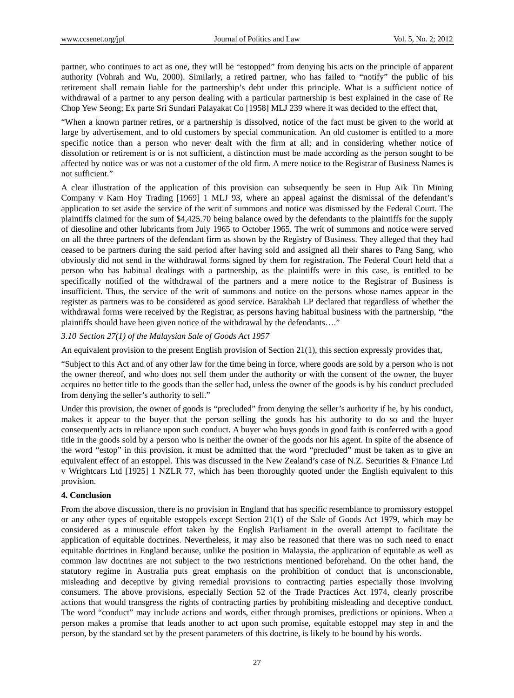partner, who continues to act as one, they will be "estopped" from denying his acts on the principle of apparent authority (Vohrah and Wu, 2000). Similarly, a retired partner, who has failed to "notify" the public of his retirement shall remain liable for the partnership's debt under this principle. What is a sufficient notice of withdrawal of a partner to any person dealing with a particular partnership is best explained in the case of Re Chop Yew Seong; Ex parte Sri Sundari Palayakat Co [1958] MLJ 239 where it was decided to the effect that,

"When a known partner retires, or a partnership is dissolved, notice of the fact must be given to the world at large by advertisement, and to old customers by special communication. An old customer is entitled to a more specific notice than a person who never dealt with the firm at all; and in considering whether notice of dissolution or retirement is or is not sufficient, a distinction must be made according as the person sought to be affected by notice was or was not a customer of the old firm. A mere notice to the Registrar of Business Names is not sufficient."

A clear illustration of the application of this provision can subsequently be seen in Hup Aik Tin Mining Company v Kam Hoy Trading [1969] 1 MLJ 93, where an appeal against the dismissal of the defendant's application to set aside the service of the writ of summons and notice was dismissed by the Federal Court. The plaintiffs claimed for the sum of \$4,425.70 being balance owed by the defendants to the plaintiffs for the supply of diesoline and other lubricants from July 1965 to October 1965. The writ of summons and notice were served on all the three partners of the defendant firm as shown by the Registry of Business. They alleged that they had ceased to be partners during the said period after having sold and assigned all their shares to Pang Sang, who obviously did not send in the withdrawal forms signed by them for registration. The Federal Court held that a person who has habitual dealings with a partnership, as the plaintiffs were in this case, is entitled to be specifically notified of the withdrawal of the partners and a mere notice to the Registrar of Business is insufficient. Thus, the service of the writ of summons and notice on the persons whose names appear in the register as partners was to be considered as good service. Barakbah LP declared that regardless of whether the withdrawal forms were received by the Registrar, as persons having habitual business with the partnership, "the plaintiffs should have been given notice of the withdrawal by the defendants…."

#### *3.10 Section 27(1) of the Malaysian Sale of Goods Act 1957*

An equivalent provision to the present English provision of Section 21(1), this section expressly provides that,

"Subject to this Act and of any other law for the time being in force, where goods are sold by a person who is not the owner thereof, and who does not sell them under the authority or with the consent of the owner, the buyer acquires no better title to the goods than the seller had, unless the owner of the goods is by his conduct precluded from denying the seller's authority to sell."

Under this provision, the owner of goods is "precluded" from denying the seller's authority if he, by his conduct, makes it appear to the buyer that the person selling the goods has his authority to do so and the buyer consequently acts in reliance upon such conduct. A buyer who buys goods in good faith is conferred with a good title in the goods sold by a person who is neither the owner of the goods nor his agent. In spite of the absence of the word "estop" in this provision, it must be admitted that the word "precluded" must be taken as to give an equivalent effect of an estoppel. This was discussed in the New Zealand's case of N.Z. Securities & Finance Ltd v Wrightcars Ltd [1925] 1 NZLR 77, which has been thoroughly quoted under the English equivalent to this provision.

#### **4. Conclusion**

From the above discussion, there is no provision in England that has specific resemblance to promissory estoppel or any other types of equitable estoppels except Section 21(1) of the Sale of Goods Act 1979, which may be considered as a minuscule effort taken by the English Parliament in the overall attempt to facilitate the application of equitable doctrines. Nevertheless, it may also be reasoned that there was no such need to enact equitable doctrines in England because, unlike the position in Malaysia, the application of equitable as well as common law doctrines are not subject to the two restrictions mentioned beforehand. On the other hand, the statutory regime in Australia puts great emphasis on the prohibition of conduct that is unconscionable, misleading and deceptive by giving remedial provisions to contracting parties especially those involving consumers. The above provisions, especially Section 52 of the Trade Practices Act 1974, clearly proscribe actions that would transgress the rights of contracting parties by prohibiting misleading and deceptive conduct. The word "conduct" may include actions and words, either through promises, predictions or opinions. When a person makes a promise that leads another to act upon such promise, equitable estoppel may step in and the person, by the standard set by the present parameters of this doctrine, is likely to be bound by his words.